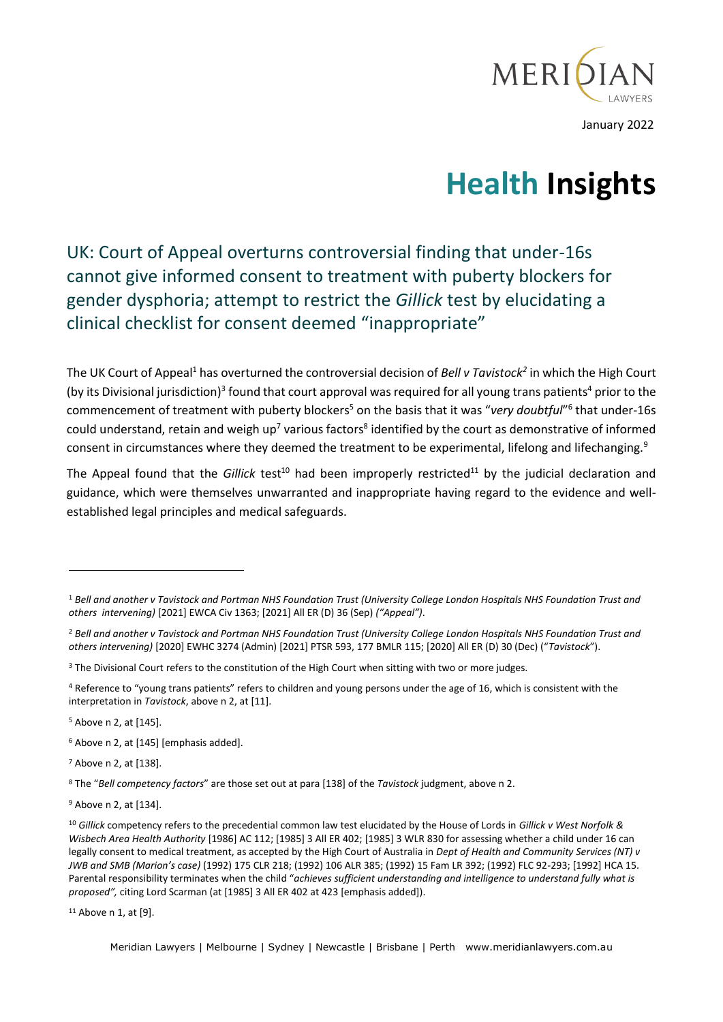

# **Health Insights**

UK: Court of Appeal overturns controversial finding that under-16s cannot give informed consent to treatment with puberty blockers for gender dysphoria; attempt to restrict the *Gillick* test by elucidating a clinical checklist for consent deemed "inappropriate"

The UK Court of Appeal<sup>1</sup> has overturned the controversial decision of *Bell v Tavistock<sup>2</sup>* in which the High Court (by its Divisional jurisdiction)<sup>3</sup> found that court approval was required for all young trans patients<sup>4</sup> prior to the commencement of treatment with puberty blockers<sup>5</sup> on the basis that it was "very doubtful"<sup>6</sup> that under-16s could understand, retain and weigh up<sup>7</sup> various factors<sup>8</sup> identified by the court as demonstrative of informed consent in circumstances where they deemed the treatment to be experimental, lifelong and lifechanging.<sup>9</sup>

The Appeal found that the *Gillick* test<sup>10</sup> had been improperly restricted<sup>11</sup> by the judicial declaration and guidance, which were themselves unwarranted and inappropriate having regard to the evidence and wellestablished legal principles and medical safeguards.

<sup>5</sup> Above n 2, at [145].

<sup>6</sup> Above n 2, at [145] [emphasis added].

<sup>7</sup> Above n 2, at [138].

<sup>8</sup> The "*Bell competency factors*" are those set out at para [138] of the *Tavistock* judgment, above n 2.

<sup>9</sup> Above n 2, at [134].

<sup>11</sup> Above n 1, at [9].

Meridian Lawyers | Melbourne | Sydney | Newcastle | Brisbane | Perth www.meridianlawyers.com.au

<sup>1</sup> *Bell and another v Tavistock and Portman NHS Foundation Trust (University College London Hospitals NHS Foundation Trust and others intervening)* [2021] EWCA Civ 1363; [2021] All ER (D) 36 (Sep) *("Appeal")*.

<sup>2</sup> *Bell and another v Tavistock and Portman NHS Foundation Trust (University College London Hospitals NHS Foundation Trust and others intervening)* [2020] EWHC 3274 (Admin) [2021] PTSR 593, 177 BMLR 115; [2020] All ER (D) 30 (Dec) ("*Tavistock*").

<sup>&</sup>lt;sup>3</sup> The Divisional Court refers to the constitution of the High Court when sitting with two or more judges.

<sup>4</sup> Reference to "young trans patients" refers to children and young persons under the age of 16, which is consistent with the interpretation in *Tavistock*, above n 2, at [11].

<sup>10</sup> *Gillick* competency refers to the precedential common law test elucidated by the House of Lords in *Gillick v West Norfolk & Wisbech Area Health Authority* [1986] AC 112; [1985] 3 All ER 402; [1985] 3 WLR 830 for assessing whether a child under 16 can legally consent to medical treatment, as accepted by the High Court of Australia in *Dept of Health and Community Services (NT) v JWB and SMB (Marion's case)* (1992) 175 CLR 218; (1992) 106 ALR 385; (1992) 15 Fam LR 392; (1992) FLC 92-293; [1992] HCA 15. Parental responsibility terminates when the child "*achieves sufficient understanding and intelligence to understand fully what is proposed",* citing Lord Scarman (at [1985] 3 All ER 402 at 423 [emphasis added]).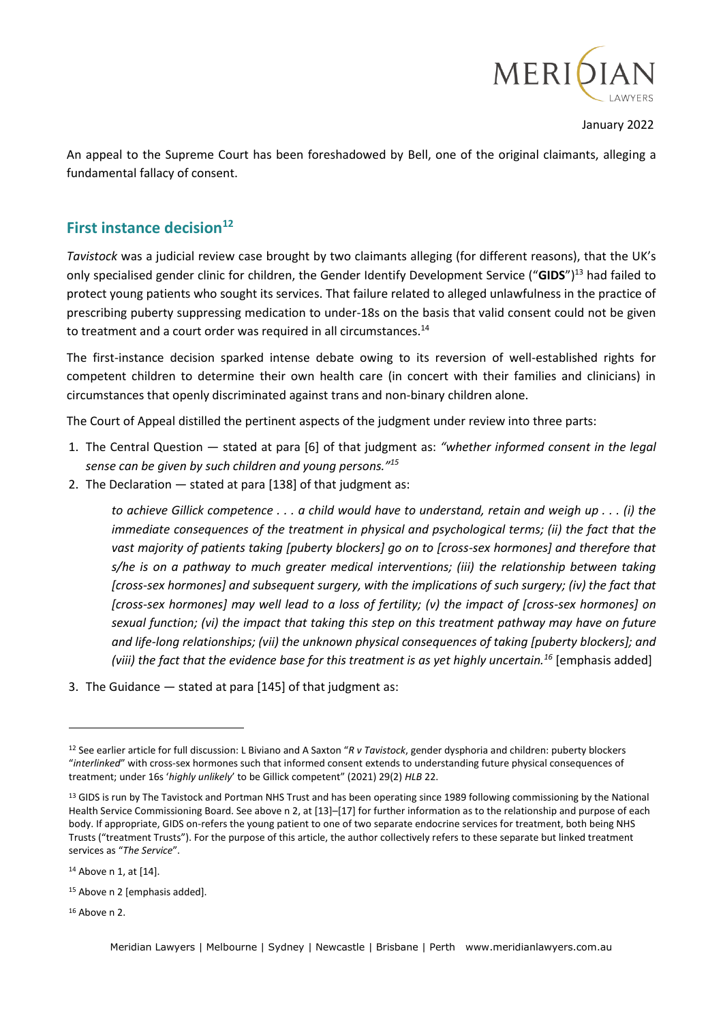

An appeal to the Supreme Court has been foreshadowed by Bell, one of the original claimants, alleging a fundamental fallacy of consent.

## **First instance decision<sup>12</sup>**

*Tavistock* was a judicial review case brought by two claimants alleging (for different reasons), that the UK's only specialised gender clinic for children, the Gender Identify Development Service ("**GIDS**")<sup>13</sup> had failed to protect young patients who sought its services. That failure related to alleged unlawfulness in the practice of prescribing puberty suppressing medication to under-18s on the basis that valid consent could not be given to treatment and a court order was required in all circumstances.<sup>14</sup>

The first-instance decision sparked intense debate owing to its reversion of well-established rights for competent children to determine their own health care (in concert with their families and clinicians) in circumstances that openly discriminated against trans and non-binary children alone.

The Court of Appeal distilled the pertinent aspects of the judgment under review into three parts:

- 1. The Central Question stated at para [6] of that judgment as: *"whether informed consent in the legal sense can be given by such children and young persons."<sup>15</sup>*
- 2. The Declaration stated at para [138] of that judgment as:

*to achieve Gillick competence . . . a child would have to understand, retain and weigh up . . . (i) the immediate consequences of the treatment in physical and psychological terms; (ii) the fact that the vast majority of patients taking [puberty blockers] go on to [cross-sex hormones] and therefore that s/he is on a pathway to much greater medical interventions; (iii) the relationship between taking [cross-sex hormones] and subsequent surgery, with the implications of such surgery; (iv) the fact that [cross-sex hormones] may well lead to a loss of fertility; (v) the impact of [cross-sex hormones] on sexual function; (vi) the impact that taking this step on this treatment pathway may have on future and life-long relationships; (vii) the unknown physical consequences of taking [puberty blockers]; and (viii) the fact that the evidence base for this treatment is as yet highly uncertain.<sup>16</sup>* [emphasis added]

3. The Guidance — stated at para [145] of that judgment as:

<sup>16</sup> Above n 2.

<sup>12</sup> See earlier article for full discussion: L Biviano and A Saxton "*R v Tavistock*, gender dysphoria and children: puberty blockers "*interlinked*" with cross-sex hormones such that informed consent extends to understanding future physical consequences of treatment; under 16s '*highly unlikely*' to be Gillick competent" (2021) 29(2) *HLB* 22.

<sup>&</sup>lt;sup>13</sup> GIDS is run by The Tavistock and Portman NHS Trust and has been operating since 1989 following commissioning by the National Health Service Commissioning Board. See above n 2, at [13]–[17] for further information as to the relationship and purpose of each body. If appropriate, GIDS on-refers the young patient to one of two separate endocrine services for treatment, both being NHS Trusts ("treatment Trusts"). For the purpose of this article, the author collectively refers to these separate but linked treatment services as "*The Service*".

<sup>14</sup> Above n 1, at [14].

<sup>&</sup>lt;sup>15</sup> Above n 2 [emphasis added].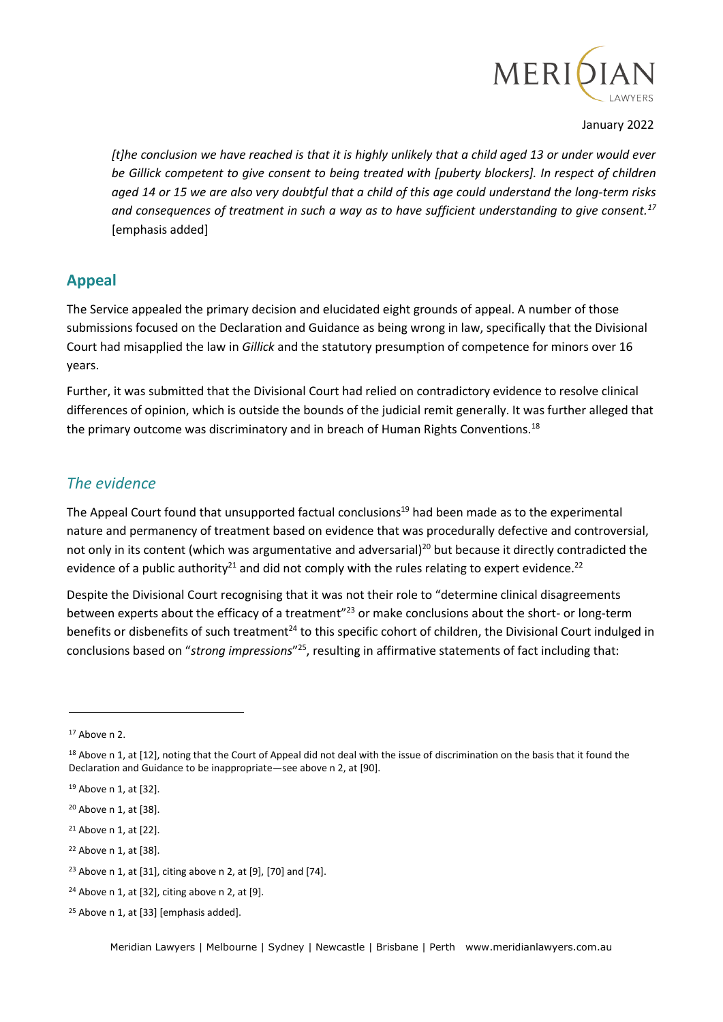

*[t]he conclusion we have reached is that it is highly unlikely that a child aged 13 or under would ever*  be Gillick competent to give consent to being treated with [puberty blockers]. In respect of children *aged 14 or 15 we are also very doubtful that a child of this age could understand the long-term risks and consequences of treatment in such a way as to have sufficient understanding to give consent.<sup>17</sup>* [emphasis added]

## **Appeal**

The Service appealed the primary decision and elucidated eight grounds of appeal. A number of those submissions focused on the Declaration and Guidance as being wrong in law, specifically that the Divisional Court had misapplied the law in *Gillick* and the statutory presumption of competence for minors over 16 years.

Further, it was submitted that the Divisional Court had relied on contradictory evidence to resolve clinical differences of opinion, which is outside the bounds of the judicial remit generally. It was further alleged that the primary outcome was discriminatory and in breach of Human Rights Conventions.<sup>18</sup>

## *The evidence*

The Appeal Court found that unsupported factual conclusions<sup>19</sup> had been made as to the experimental nature and permanency of treatment based on evidence that was procedurally defective and controversial, not only in its content (which was argumentative and adversarial)<sup>20</sup> but because it directly contradicted the evidence of a public authority<sup>21</sup> and did not comply with the rules relating to expert evidence.<sup>22</sup>

Despite the Divisional Court recognising that it was not their role to "determine clinical disagreements between experts about the efficacy of a treatment"<sup>23</sup> or make conclusions about the short- or long-term benefits or disbenefits of such treatment<sup>24</sup> to this specific cohort of children, the Divisional Court indulged in conclusions based on "*strong impressions*" <sup>25</sup>, resulting in affirmative statements of fact including that:

<sup>17</sup> Above n 2.

<sup>&</sup>lt;sup>18</sup> Above n 1, at [12], noting that the Court of Appeal did not deal with the issue of discrimination on the basis that it found the Declaration and Guidance to be inappropriate—see above n 2, at [90].

<sup>19</sup> Above n 1, at [32].

<sup>20</sup> Above n 1, at [38].

<sup>21</sup> Above n 1, at [22].

<sup>22</sup> Above n 1, at [38].

<sup>23</sup> Above n 1, at [31], citing above n 2, at [9], [70] and [74].

 $24$  Above n 1, at [32], citing above n 2, at [9].

<sup>&</sup>lt;sup>25</sup> Above n 1, at [33] [emphasis added].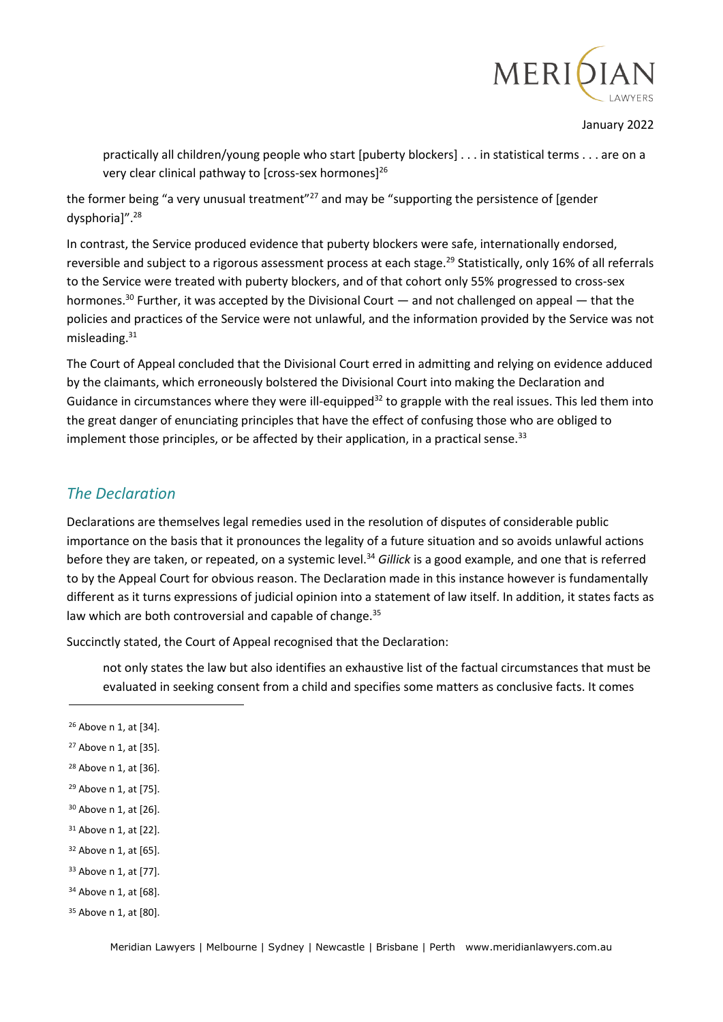

practically all children/young people who start [puberty blockers] . . . in statistical terms . . . are on a very clear clinical pathway to [cross-sex hormones]<sup>26</sup>

the former being "a very unusual treatment"<sup>27</sup> and may be "supporting the persistence of [gender dysphoria]".<sup>28</sup>

In contrast, the Service produced evidence that puberty blockers were safe, internationally endorsed, reversible and subject to a rigorous assessment process at each stage.<sup>29</sup> Statistically, only 16% of all referrals to the Service were treated with puberty blockers, and of that cohort only 55% progressed to cross-sex hormones.<sup>30</sup> Further, it was accepted by the Divisional Court — and not challenged on appeal — that the policies and practices of the Service were not unlawful, and the information provided by the Service was not misleading.<sup>31</sup>

The Court of Appeal concluded that the Divisional Court erred in admitting and relying on evidence adduced by the claimants, which erroneously bolstered the Divisional Court into making the Declaration and Guidance in circumstances where they were ill-equipped<sup>32</sup> to grapple with the real issues. This led them into the great danger of enunciating principles that have the effect of confusing those who are obliged to implement those principles, or be affected by their application, in a practical sense.<sup>33</sup>

## *The Declaration*

Declarations are themselves legal remedies used in the resolution of disputes of considerable public importance on the basis that it pronounces the legality of a future situation and so avoids unlawful actions before they are taken, or repeated, on a systemic level.<sup>34</sup> *Gillick* is a good example, and one that is referred to by the Appeal Court for obvious reason. The Declaration made in this instance however is fundamentally different as it turns expressions of judicial opinion into a statement of law itself. In addition, it states facts as law which are both controversial and capable of change.<sup>35</sup>

Succinctly stated, the Court of Appeal recognised that the Declaration:

not only states the law but also identifies an exhaustive list of the factual circumstances that must be evaluated in seeking consent from a child and specifies some matters as conclusive facts. It comes

- <sup>32</sup> Above n 1, at [65].
- <sup>33</sup> Above n 1, at [77].
- <sup>34</sup> Above n 1, at [68].

<sup>26</sup> Above n 1, at [34].

<sup>27</sup> Above n 1, at [35].

<sup>28</sup> Above n 1, at [36].

<sup>29</sup> Above n 1, at [75].

<sup>30</sup> Above n 1, at [26].

<sup>31</sup> Above n 1, at [22].

<sup>35</sup> Above n 1, at [80].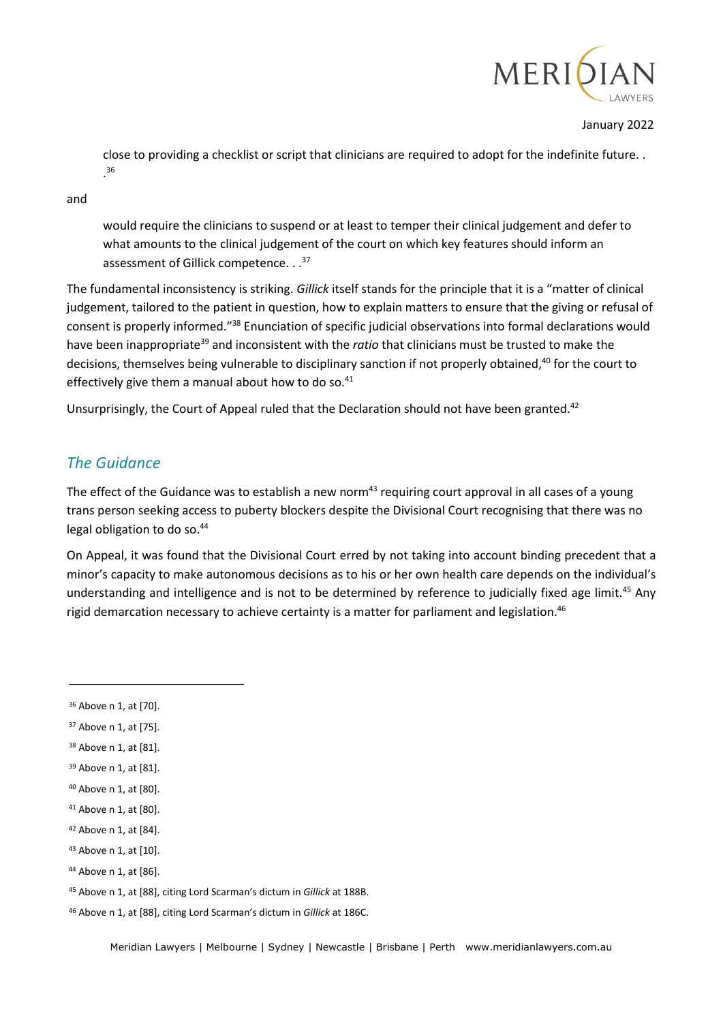

close to providing a checklist or script that clinicians are required to adopt for the indefinite future. . . 36

and

would require the clinicians to suspend or at least to temper their clinical judgement and defer to what amounts to the clinical judgement of the court on which key features should inform an assessment of Gillick competence. . .<sup>37</sup>

The fundamental inconsistency is striking. *Gillick* itself stands for the principle that it is a "matter of clinical judgement, tailored to the patient in question, how to explain matters to ensure that the giving or refusal of consent is properly informed."<sup>38</sup> Enunciation of specific judicial observations into formal declarations would have been inappropriate<sup>39</sup> and inconsistent with the *ratio* that clinicians must be trusted to make the decisions, themselves being vulnerable to disciplinary sanction if not properly obtained,<sup>40</sup> for the court to effectively give them a manual about how to do so.<sup>41</sup>

Unsurprisingly, the Court of Appeal ruled that the Declaration should not have been granted.<sup>42</sup>

## *The Guidance*

The effect of the Guidance was to establish a new norm<sup>43</sup> requiring court approval in all cases of a young trans person seeking access to puberty blockers despite the Divisional Court recognising that there was no legal obligation to do so.<sup>44</sup>

On Appeal, it was found that the Divisional Court erred by not taking into account binding precedent that a minor's capacity to make autonomous decisions as to his or her own health care depends on the individual's understanding and intelligence and is not to be determined by reference to judicially fixed age limit.<sup>45</sup> Any rigid demarcation necessary to achieve certainty is a matter for parliament and legislation.<sup>46</sup>

- <sup>37</sup> Above n 1, at [75].
- <sup>38</sup> Above n 1, at [81].

- <sup>43</sup> Above n 1, at [10].
- <sup>44</sup> Above n 1, at [86].
- <sup>45</sup> Above n 1, at [88], citing Lord Scarman's dictum in *Gillick* at 188B.

<sup>36</sup> Above n 1, at [70].

<sup>39</sup> Above n 1, at [81].

<sup>40</sup> Above n 1, at [80].

<sup>41</sup> Above n 1, at [80].

<sup>42</sup> Above n 1, at [84].

<sup>46</sup> Above n 1, at [88], citing Lord Scarman's dictum in *Gillick* at 186C.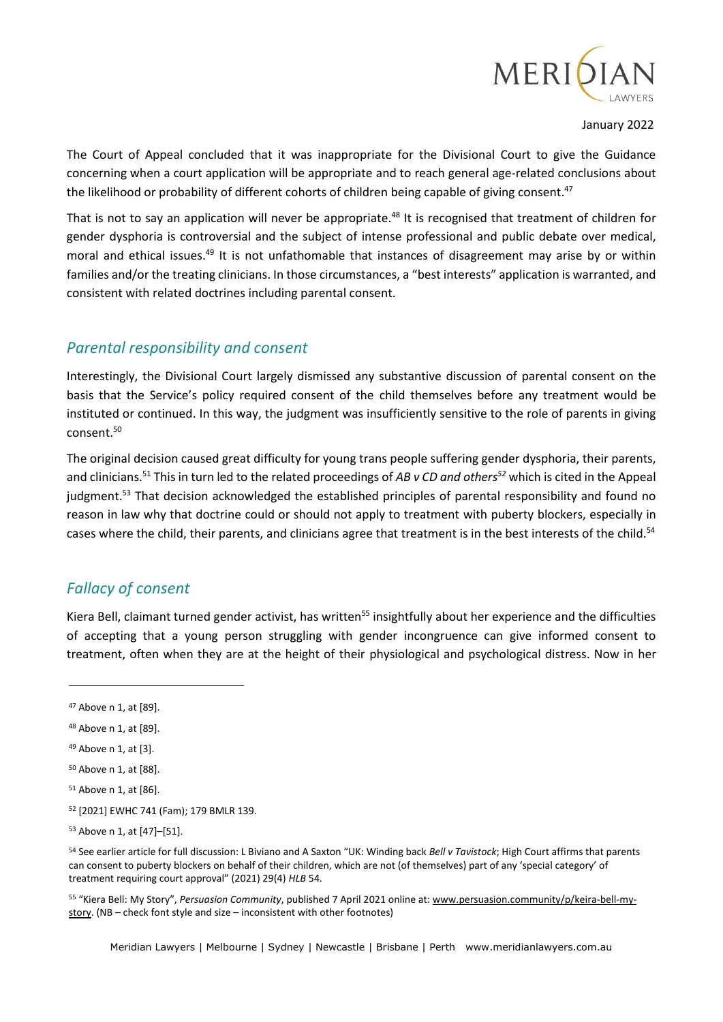

The Court of Appeal concluded that it was inappropriate for the Divisional Court to give the Guidance concerning when a court application will be appropriate and to reach general age-related conclusions about the likelihood or probability of different cohorts of children being capable of giving consent.<sup>47</sup>

That is not to say an application will never be appropriate.<sup>48</sup> It is recognised that treatment of children for gender dysphoria is controversial and the subject of intense professional and public debate over medical, moral and ethical issues.<sup>49</sup> It is not unfathomable that instances of disagreement may arise by or within families and/or the treating clinicians. In those circumstances, a "best interests" application is warranted, and consistent with related doctrines including parental consent.

## *Parental responsibility and consent*

Interestingly, the Divisional Court largely dismissed any substantive discussion of parental consent on the basis that the Service's policy required consent of the child themselves before any treatment would be instituted or continued. In this way, the judgment was insufficiently sensitive to the role of parents in giving consent.<sup>50</sup>

The original decision caused great difficulty for young trans people suffering gender dysphoria, their parents, and clinicians.<sup>51</sup> This in turn led to the related proceedings of *AB v CD and others<sup>52</sup>* which is cited in the Appeal judgment.<sup>53</sup> That decision acknowledged the established principles of parental responsibility and found no reason in law why that doctrine could or should not apply to treatment with puberty blockers, especially in cases where the child, their parents, and clinicians agree that treatment is in the best interests of the child.<sup>54</sup>

# *Fallacy of consent*

Kiera Bell, claimant turned gender activist, has written<sup>55</sup> insightfully about her experience and the difficulties of accepting that a young person struggling with gender incongruence can give informed consent to treatment, often when they are at the height of their physiological and psychological distress. Now in her

<sup>55</sup> "Kiera Bell: My Story", *Persuasion Community*, published 7 April 2021 online at[: www.persuasion.community/p/keira-bell-my](http://www.persuasion.community/p/keira-bell-my-story)[story.](http://www.persuasion.community/p/keira-bell-my-story) (NB – check font style and size – inconsistent with other footnotes)

Meridian Lawyers | Melbourne | Sydney | Newcastle | Brisbane | Perth www.meridianlawyers.com.au

<sup>47</sup> Above n 1, at [89].

<sup>48</sup> Above n 1, at [89].

<sup>49</sup> Above n 1, at [3].

<sup>50</sup> Above n 1, at [88].

<sup>51</sup> Above n 1, at [86].

<sup>52</sup> [2021] EWHC 741 (Fam); 179 BMLR 139.

<sup>53</sup> Above n 1, at [47]–[51].

<sup>54</sup> See earlier article for full discussion: L Biviano and A Saxton "UK: Winding back *Bell v Tavistock*; High Court affirms that parents can consent to puberty blockers on behalf of their children, which are not (of themselves) part of any 'special category' of treatment requiring court approval" (2021) 29(4) *HLB* 54.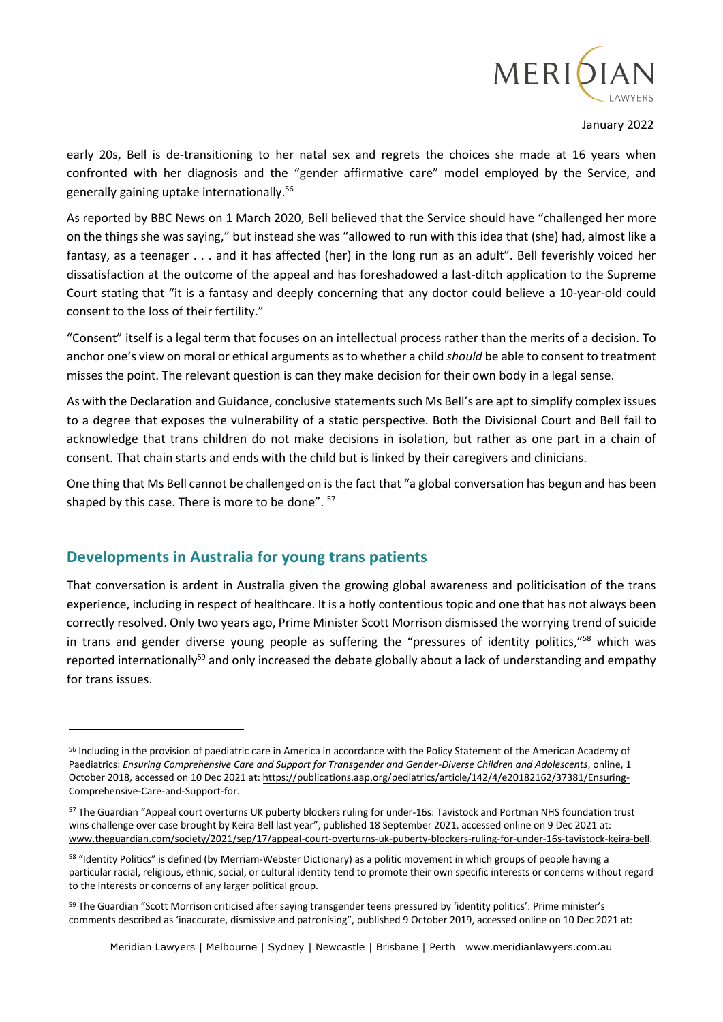

early 20s, Bell is de-transitioning to her natal sex and regrets the choices she made at 16 years when confronted with her diagnosis and the "gender affirmative care" model employed by the Service, and generally gaining uptake internationally.<sup>56</sup>

As reported by BBC News on 1 March 2020, Bell believed that the Service should have "challenged her more on the things she was saying," but instead she was "allowed to run with this idea that (she) had, almost like a fantasy, as a teenager . . . and it has affected (her) in the long run as an adult". Bell feverishly voiced her dissatisfaction at the outcome of the appeal and has foreshadowed a last-ditch application to the Supreme Court stating that "it is a fantasy and deeply concerning that any doctor could believe a 10-year-old could consent to the loss of their fertility."

"Consent" itself is a legal term that focuses on an intellectual process rather than the merits of a decision. To anchor one's view on moral or ethical arguments as to whether a child *should* be able to consent to treatment misses the point. The relevant question is can they make decision for their own body in a legal sense.

As with the Declaration and Guidance, conclusive statements such Ms Bell's are apt to simplify complex issues to a degree that exposes the vulnerability of a static perspective. Both the Divisional Court and Bell fail to acknowledge that trans children do not make decisions in isolation, but rather as one part in a chain of consent. That chain starts and ends with the child but is linked by their caregivers and clinicians.

One thing that Ms Bell cannot be challenged on is the fact that "a global conversation has begun and has been shaped by this case. There is more to be done". <sup>57</sup>

## **Developments in Australia for young trans patients**

That conversation is ardent in Australia given the growing global awareness and politicisation of the trans experience, including in respect of healthcare. It is a hotly contentious topic and one that has not always been correctly resolved. Only two years ago, Prime Minister Scott Morrison dismissed the worrying trend of suicide in trans and gender diverse young people as suffering the "pressures of identity politics,"<sup>58</sup> which was reported internationally<sup>59</sup> and only increased the debate globally about a lack of understanding and empathy for trans issues.

<sup>56</sup> Including in the provision of paediatric care in America in accordance with the Policy Statement of the American Academy of Paediatrics: *Ensuring Comprehensive Care and Support for Transgender and Gender-Diverse Children and Adolescents*, online, 1 October 2018, accessed on 10 Dec 2021 at[: https://publications.aap.org/pediatrics/article/142/4/e20182162/37381/Ensuring-](https://publications.aap.org/pediatrics/article/142/4/e20182162/37381/Ensuring-Comprehensive-Care-and-Support-for)[Comprehensive-Care-and-Support-for.](https://publications.aap.org/pediatrics/article/142/4/e20182162/37381/Ensuring-Comprehensive-Care-and-Support-for)

<sup>57</sup> The Guardian "Appeal court overturns UK puberty blockers ruling for under-16s: Tavistock and Portman NHS foundation trust wins challenge over case brought by Keira Bell last year", published 18 September 2021, accessed online on 9 Dec 2021 at: [www.theguardian.com/society/2021/sep/17/appeal-court-overturns-uk-puberty-blockers-ruling-for-under-16s-tavistock-keira-bell.](http://www.theguardian.com/society/2021/sep/17/appeal-court-overturns-uk-puberty-blockers-ruling-for-under-16s-tavistock-keira-bell)

<sup>&</sup>lt;sup>58</sup> "Identity Politics" is defined (by Merriam-Webster Dictionary) as a politic movement in which groups of people having a particular racial, religious, ethnic, social, or cultural identity tend to promote their own specific interests or concerns without regard to the interests or concerns of any larger political group.

<sup>59</sup> The Guardian "Scott Morrison criticised after saying transgender teens pressured by 'identity politics': Prime minister's comments described as 'inaccurate, dismissive and patronising", published 9 October 2019, accessed online on 10 Dec 2021 at: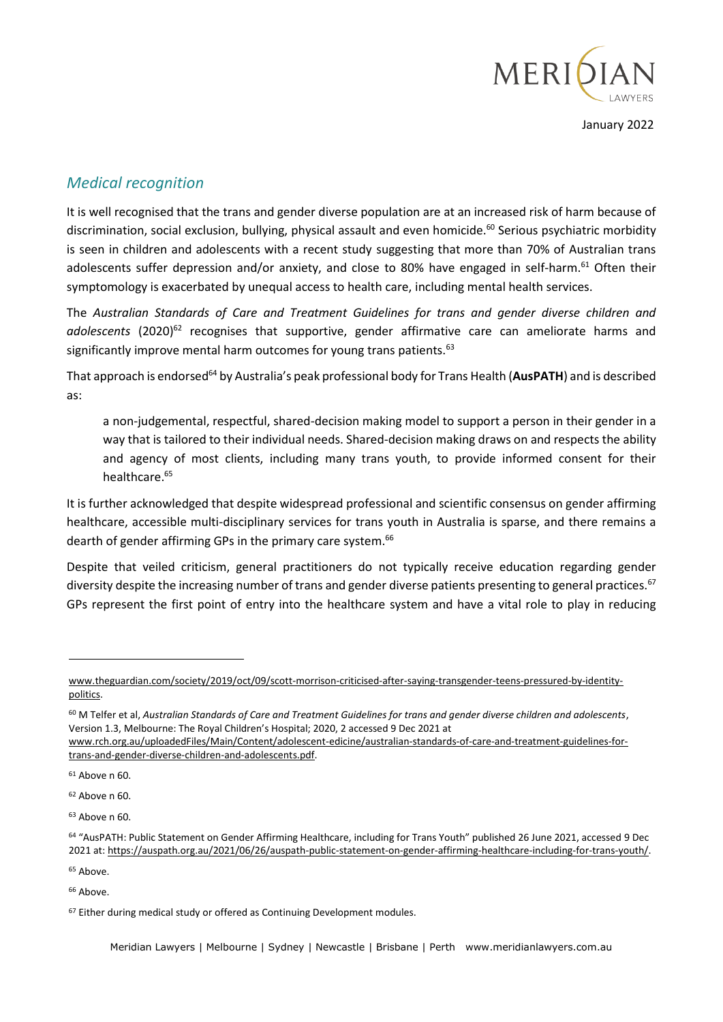

# *Medical recognition*

It is well recognised that the trans and gender diverse population are at an increased risk of harm because of discrimination, social exclusion, bullying, physical assault and even homicide.<sup>60</sup> Serious psychiatric morbidity is seen in children and adolescents with a recent study suggesting that more than 70% of Australian trans adolescents suffer depression and/or anxiety, and close to 80% have engaged in self-harm.<sup>61</sup> Often their symptomology is exacerbated by unequal access to health care, including mental health services.

The *Australian Standards of Care and Treatment Guidelines for trans and gender diverse children and*  adolescents (2020)<sup>62</sup> recognises that supportive, gender affirmative care can ameliorate harms and significantly improve mental harm outcomes for young trans patients.<sup>63</sup>

That approach is endorsed<sup>64</sup> by Australia's peak professional body for Trans Health (**AusPATH**) and is described as:

a non-judgemental, respectful, shared-decision making model to support a person in their gender in a way that is tailored to their individual needs. Shared-decision making draws on and respects the ability and agency of most clients, including many trans youth, to provide informed consent for their healthcare.<sup>65</sup>

It is further acknowledged that despite widespread professional and scientific consensus on gender affirming healthcare, accessible multi-disciplinary services for trans youth in Australia is sparse, and there remains a dearth of gender affirming GPs in the primary care system.<sup>66</sup>

Despite that veiled criticism, general practitioners do not typically receive education regarding gender diversity despite the increasing number of trans and gender diverse patients presenting to general practices.<sup>67</sup> GPs represent the first point of entry into the healthcare system and have a vital role to play in reducing

[www.theguardian.com/society/2019/oct/09/scott-morrison-criticised-after-saying-transgender-teens-pressured-by-identity](http://www.theguardian.com/society/2019/oct/09/scott-morrison-criticised-after-saying-transgender-teens-pressured-by-identity-politics)[politics.](http://www.theguardian.com/society/2019/oct/09/scott-morrison-criticised-after-saying-transgender-teens-pressured-by-identity-politics)

<sup>60</sup> M Telfer et al, *Australian Standards of Care and Treatment Guidelines for trans and gender diverse children and adolescents*, Version 1.3, Melbourne: The Royal Children's Hospital; 2020, 2 accessed 9 Dec 2021 at

[www.rch.org.au/uploadedFiles/Main/Content/adolescent-edicine/australian-standards-of-care-and-treatment-guidelines-for](http://www.rch.org.au/uploadedFiles/Main/Content/adolescent-edicine/australian-standards-of-care-and-treatment-guidelines-for-trans-and-gender-diverse-children-and-adolescents.pdf)[trans-and-gender-diverse-children-and-adolescents.pdf.](http://www.rch.org.au/uploadedFiles/Main/Content/adolescent-edicine/australian-standards-of-care-and-treatment-guidelines-for-trans-and-gender-diverse-children-and-adolescents.pdf)

<sup>61</sup> Above n 60.

 $62$  Above n 60.

<sup>63</sup> Above n 60.

<sup>64</sup> "AusPATH: Public Statement on Gender Affirming Healthcare, including for Trans Youth" published 26 June 2021, accessed 9 Dec 2021 at[: https://auspath.org.au/2021/06/26/auspath-public-statement-on-gender-affirming-healthcare-including-for-trans-youth/.](https://auspath.org.au/2021/06/26/auspath-public-statement-on-gender-affirming-healthcare-including-for-trans-youth/)

<sup>65</sup> Above.

 $66$  Ahove

<sup>&</sup>lt;sup>67</sup> Either during medical study or offered as Continuing Development modules.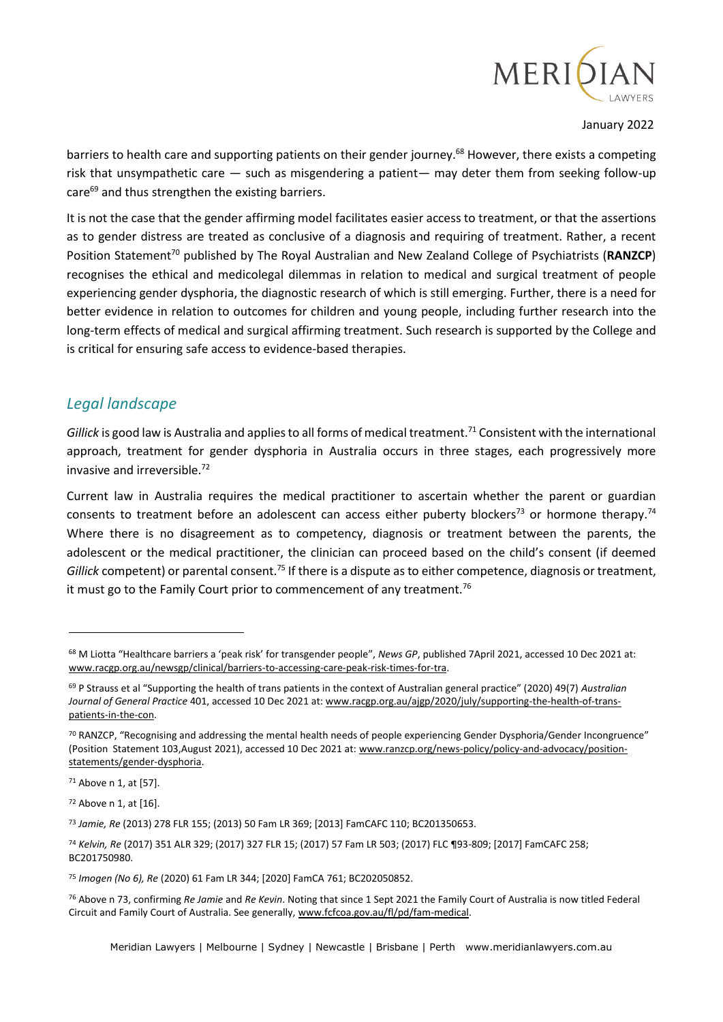

barriers to health care and supporting patients on their gender journey.<sup>68</sup> However, there exists a competing risk that unsympathetic care — such as misgendering a patient— may deter them from seeking follow-up care<sup>69</sup> and thus strengthen the existing barriers.

It is not the case that the gender affirming model facilitates easier access to treatment, or that the assertions as to gender distress are treated as conclusive of a diagnosis and requiring of treatment. Rather, a recent Position Statement<sup>70</sup> published by The Royal Australian and New Zealand College of Psychiatrists (RANZCP) recognises the ethical and medicolegal dilemmas in relation to medical and surgical treatment of people experiencing gender dysphoria, the diagnostic research of which is still emerging. Further, there is a need for better evidence in relation to outcomes for children and young people, including further research into the long-term effects of medical and surgical affirming treatment. Such research is supported by the College and is critical for ensuring safe access to evidence-based therapies.

# *Legal landscape*

*Gillick* is good law is Australia and applies to all forms of medical treatment.<sup>71</sup> Consistent with the international approach, treatment for gender dysphoria in Australia occurs in three stages, each progressively more invasive and irreversible.<sup>72</sup>

Current law in Australia requires the medical practitioner to ascertain whether the parent or guardian consents to treatment before an adolescent can access either puberty blockers<sup>73</sup> or hormone therapy.<sup>74</sup> Where there is no disagreement as to competency, diagnosis or treatment between the parents, the adolescent or the medical practitioner, the clinician can proceed based on the child's consent (if deemed *Gillick* competent) or parental consent.<sup>75</sup> If there is a dispute as to either competence, diagnosis or treatment, it must go to the Family Court prior to commencement of any treatment.<sup>76</sup>

<sup>72</sup> Above n 1, at [16].

<sup>68</sup> M Liotta "Healthcare barriers a 'peak risk' for transgender people", *News GP*, published 7April 2021, accessed 10 Dec 2021 at: [www.racgp.org.au/newsgp/clinical/barriers-to-accessing-care-peak-risk-times-for-tra.](http://www.racgp.org.au/newsgp/clinical/barriers-to-accessing-care-peak-risk-times-for-tra)

<sup>69</sup> P Strauss et al "Supporting the health of trans patients in the context of Australian general practice" (2020) 49(7) *Australian Journal of General Practice* 401, accessed 10 Dec 2021 at[: www.racgp.org.au/ajgp/2020/july/supporting-the-health-of-trans](http://www.racgp.org.au/ajgp/2020/july/supporting-the-health-of-trans-patients-in-the-con)[patients-in-the-con.](http://www.racgp.org.au/ajgp/2020/july/supporting-the-health-of-trans-patients-in-the-con)

<sup>70</sup> RANZCP, "Recognising and addressing the mental health needs of people experiencing Gender Dysphoria/Gender Incongruence" (Position Statement 103,August 2021), accessed 10 Dec 2021 at: [www.ranzcp.org/news-policy/policy-and-advocacy/position](http://www.ranzcp.org/news-policy/policy-and-advocacy/position-statements/gender-dysphoria)[statements/gender-dysphoria.](http://www.ranzcp.org/news-policy/policy-and-advocacy/position-statements/gender-dysphoria)

<sup>71</sup> Above n 1, at [57].

<sup>73</sup> *Jamie, Re* (2013) 278 FLR 155; (2013) 50 Fam LR 369; [2013] FamCAFC 110; BC201350653.

<sup>74</sup> *Kelvin, Re* (2017) 351 ALR 329; (2017) 327 FLR 15; (2017) 57 Fam LR 503; (2017) FLC ¶93-809; [2017] FamCAFC 258; BC201750980.

<sup>75</sup> *Imogen (No 6), Re* (2020) 61 Fam LR 344; [2020] FamCA 761; BC202050852.

<sup>76</sup> Above n 73, confirming *Re Jamie* and *Re Kevin*. Noting that since 1 Sept 2021 the Family Court of Australia is now titled Federal Circuit and Family Court of Australia. See generally[, www.fcfcoa.gov.au/fl/pd/fam-medical.](http://www.fcfcoa.gov.au/fl/pd/fam-medical)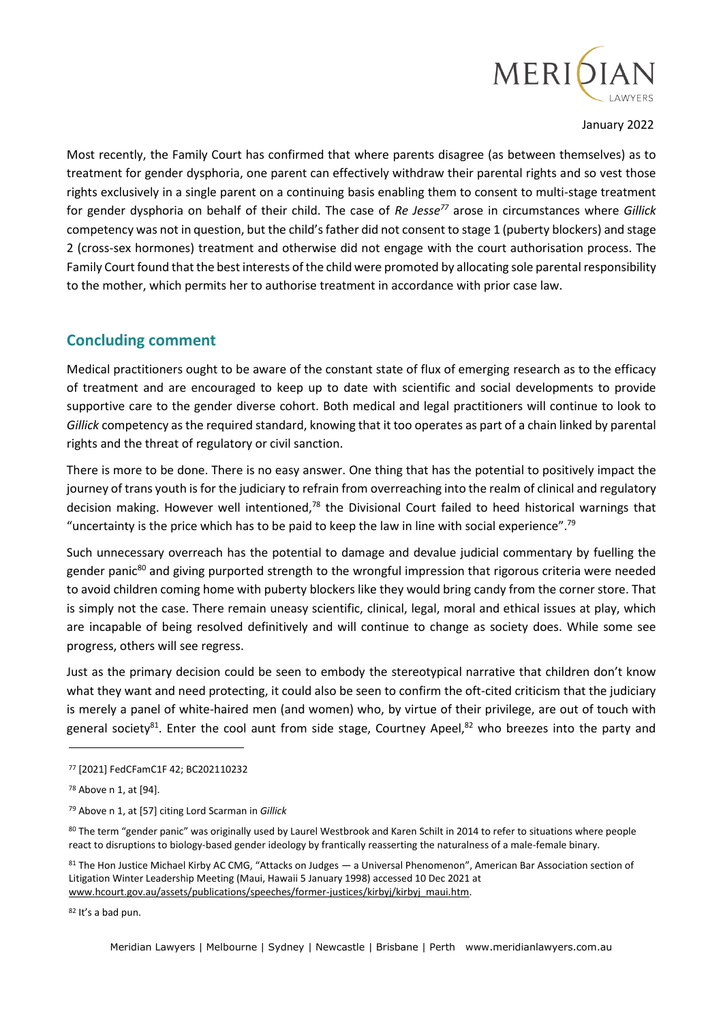

Most recently, the Family Court has confirmed that where parents disagree (as between themselves) as to treatment for gender dysphoria, one parent can effectively withdraw their parental rights and so vest those rights exclusively in a single parent on a continuing basis enabling them to consent to multi-stage treatment for gender dysphoria on behalf of their child. The case of *Re Jesse<sup>77</sup>* arose in circumstances where *Gillick* competency was not in question, but the child's father did not consent to stage 1 (puberty blockers) and stage 2 (cross-sex hormones) treatment and otherwise did not engage with the court authorisation process. The Family Court found that the best interests of the child were promoted by allocating sole parental responsibility to the mother, which permits her to authorise treatment in accordance with prior case law.

## **Concluding comment**

Medical practitioners ought to be aware of the constant state of flux of emerging research as to the efficacy of treatment and are encouraged to keep up to date with scientific and social developments to provide supportive care to the gender diverse cohort. Both medical and legal practitioners will continue to look to *Gillick* competency as the required standard, knowing that it too operates as part of a chain linked by parental rights and the threat of regulatory or civil sanction.

There is more to be done. There is no easy answer. One thing that has the potential to positively impact the journey of trans youth is for the judiciary to refrain from overreaching into the realm of clinical and regulatory decision making. However well intentioned,<sup>78</sup> the Divisional Court failed to heed historical warnings that "uncertainty is the price which has to be paid to keep the law in line with social experience".<sup>79</sup>

Such unnecessary overreach has the potential to damage and devalue judicial commentary by fuelling the gender panic<sup>80</sup> and giving purported strength to the wrongful impression that rigorous criteria were needed to avoid children coming home with puberty blockers like they would bring candy from the corner store. That is simply not the case. There remain uneasy scientific, clinical, legal, moral and ethical issues at play, which are incapable of being resolved definitively and will continue to change as society does. While some see progress, others will see regress.

Just as the primary decision could be seen to embody the stereotypical narrative that children don't know what they want and need protecting, it could also be seen to confirm the oft-cited criticism that the judiciary is merely a panel of white-haired men (and women) who, by virtue of their privilege, are out of touch with general society<sup>81</sup>. Enter the cool aunt from side stage, Courtney Apeel,<sup>82</sup> who breezes into the party and

<sup>80</sup> The term "gender panic" was originally used by Laurel Westbrook and Karen Schilt in 2014 to refer to situations where people react to disruptions to biology-based gender ideology by frantically reasserting the naturalness of a male-female binary.

81 The Hon Justice Michael Kirby AC CMG, "Attacks on Judges — a Universal Phenomenon", American Bar Association section of Litigation Winter Leadership Meeting (Maui, Hawaii 5 January 1998) accessed 10 Dec 2021 at [www.hcourt.gov.au/assets/publications/speeches/former-justices/kirbyj/kirbyj\\_maui.htm.](http://www.hcourt.gov.au/assets/publications/speeches/former-justices/kirbyj/kirbyj_maui.htm)

82 It's a bad pun.

Meridian Lawyers | Melbourne | Sydney | Newcastle | Brisbane | Perth www.meridianlawyers.com.au

<sup>77</sup> [2021] FedCFamC1F 42; BC202110232

<sup>78</sup> Above n 1, at [94].

<sup>79</sup> Above n 1, at [57] citing Lord Scarman in *Gillick*